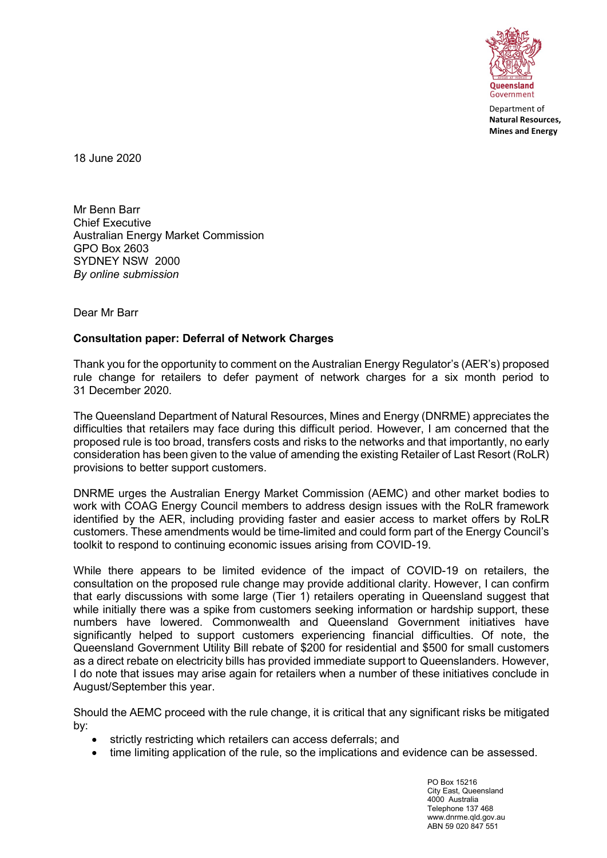

Department of Natural Resources, Mines and Energy

18 June 2020

Mr Benn Barr Chief Executive Australian Energy Market Commission GPO Box 2603 SYDNEY NSW 2000 By online submission

Dear Mr Barr

## Consultation paper: Deferral of Network Charges

Thank you for the opportunity to comment on the Australian Energy Regulator's (AER's) proposed rule change for retailers to defer payment of network charges for a six month period to 31 December 2020.

The Queensland Department of Natural Resources, Mines and Energy (DNRME) appreciates the difficulties that retailers may face during this difficult period. However, I am concerned that the proposed rule is too broad, transfers costs and risks to the networks and that importantly, no early consideration has been given to the value of amending the existing Retailer of Last Resort (RoLR) provisions to better support customers.

DNRME urges the Australian Energy Market Commission (AEMC) and other market bodies to work with COAG Energy Council members to address design issues with the RoLR framework identified by the AER, including providing faster and easier access to market offers by RoLR customers. These amendments would be time-limited and could form part of the Energy Council's toolkit to respond to continuing economic issues arising from COVID-19.

While there appears to be limited evidence of the impact of COVID-19 on retailers, the consultation on the proposed rule change may provide additional clarity. However, I can confirm that early discussions with some large (Tier 1) retailers operating in Queensland suggest that while initially there was a spike from customers seeking information or hardship support, these numbers have lowered. Commonwealth and Queensland Government initiatives have significantly helped to support customers experiencing financial difficulties. Of note, the Queensland Government Utility Bill rebate of \$200 for residential and \$500 for small customers as a direct rebate on electricity bills has provided immediate support to Queenslanders. However, I do note that issues may arise again for retailers when a number of these initiatives conclude in August/September this year.

Should the AEMC proceed with the rule change, it is critical that any significant risks be mitigated by:

- strictly restricting which retailers can access deferrals; and
- time limiting application of the rule, so the implications and evidence can be assessed.

PO Box 15216 City East, Queensland 4000 Australia Telephone 137 468 www.dnrme.qld.gov.au ABN 59 020 847 551